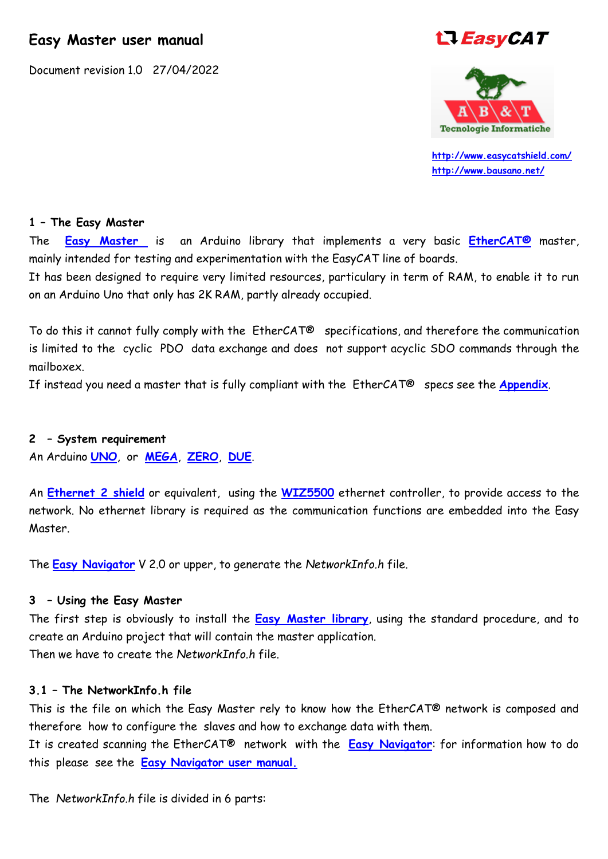# **Easy Master user manual**

Document revision 1.0 27/04/2022

# **LI EasyCAT**



 **<http://www.easycatshield.com/> [http://www.bausano.net/](http://www.bausano.net/en/)**

#### **1 – The Easy Master**

The **[Easy Master](https://www.bausano.net/images/arduino-easycat/EasyMaster.zip)** is an Arduino library that implements a very basic **[EtherCAT®](https://www.ethercat.org/default.htm)** master, mainly intended for testing and experimentation with the EasyCAT line of boards.

It has been designed to require very limited resources, particulary in term of RAM, to enable it to run on an Arduino Uno that only has 2K RAM, partly already occupied.

To do this it cannot fully comply with the EtherCAT® specifications, and therefore the communication is limited to the cyclic PDO data exchange and does not support acyclic SDO commands through the mailboxex.

If instead you need a master that is fully compliant with the EtherCAT® specs see the **[Appendix](#page-6-0)**.

#### **2 – System requirement**

An Arduino **[UNO](https://store.arduino.cc/collections/boards/products/arduino-uno-rev3-smd)**, or **[MEGA](https://store.arduino.cc/collections/boards/products/arduino-mega-2560-rev3)**, **[ZERO](https://store.arduino.cc/collections/boards/products/arduino-zero)**, **[DUE](https://store.arduino.cc/collections/boards/products/arduino-due)**.

An **[Ethernet 2 shield](https://store.arduino.cc/products/arduino-ethernet-shield-2)** or equivalent, using the **[WIZ5500](https://docs.wiznet.io/img/products/w5500/w5500_ds_v109e.pdf)** ethernet controller, to provide access to the network. No ethernet library is required as the communication functions are embedded into the Easy Master.

The **[Easy Navigator](https://www.bausano.net/images/arduino-easycat/EasyNavigator.zip)** V 2.0 or upper, to generate the *NetworkInfo.h* file.

#### **3 – Using the Easy Master**

The first step is obviously to install the **[Easy Master library](https://www.bausano.net/images/arduino-easycat/EasyMaster.zip)**, using the standard procedure, and to create an Arduino project that will contain the master application. Then we have to create the *NetworkInfo.h* file.

#### **3.1 – The NetworkInfo.h file**

This is the file on which the Easy Master rely to know how the EtherCAT® network is composed and therefore how to configure the slaves and how to exchange data with them.

It is created scanning the EtherCAT® network with the **[Easy Navigator](https://www.bausano.net/images/arduino-easycat/EasyNavigator.zip)**: for information how to do this please see the **[Easy Navigator user manual.](https://www.bausano.net/images/arduino-easycat/Easy_Navigator_UserManual.pdf)**

The *NetworkInfo.h* file is divided in 6 parts: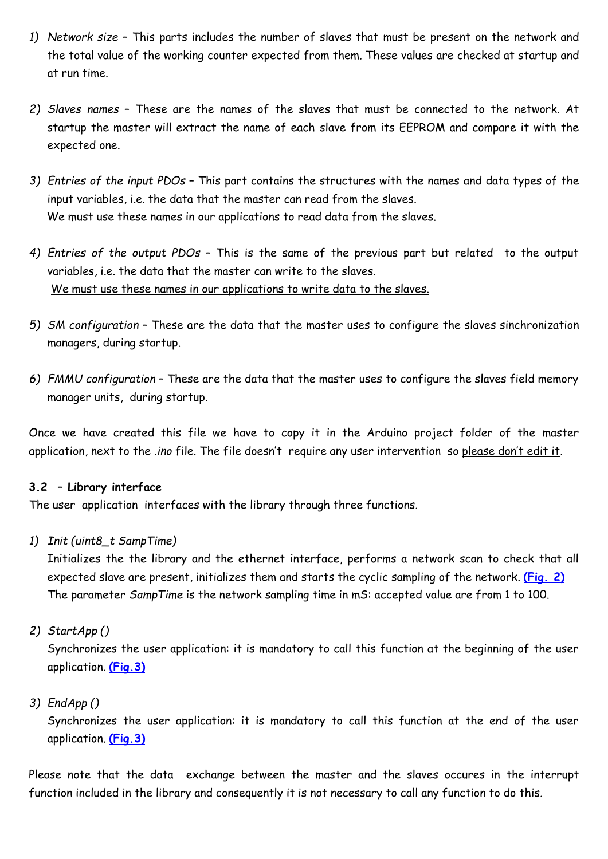- *1) Network size* This parts includes the number of slaves that must be present on the network and the total value of the working counter expected from them. These values are checked at startup and at run time.
- *2) Slaves names* These are the names of the slaves that must be connected to the network. At startup the master will extract the name of each slave from its EEPROM and compare it with the expected one.
- *3) Entries of the input PDOs* This part contains the structures with the names and data types of the input variables, i.e. the data that the master can read from the slaves. We must use these names in our applications to read data from the slaves.
- *4) Entries of the output PDOs* This is the same of the previous part but related to the output variables, i.e. the data that the master can write to the slaves. We must use these names in our applications to write data to the slaves.
- *5) SM configuration* These are the data that the master uses to configure the slaves sinchronization managers, during startup.
- *6) FMMU configuration* These are the data that the master uses to configure the slaves field memory manager units, during startup.

Once we have created this file we have to copy it in the Arduino project folder of the master application, next to the *.ino* file. The file doesn't require any user intervention so please don't edit it.

#### **3.2 – Library interface**

The user application interfaces with the library through three functions.

*1) Init (uint8\_t SampTime)*

Initializes the the library and the ethernet interface, performs a network scan to check that all expected slave are present, initializes them and starts the cyclic sampling of the network. **[\(Fig. 2\)](#page-2-0)** The parameter *SampTime* is the network sampling time in mS: accepted value are from 1 to 100.

*2) StartApp ()*

Synchronizes the user application: it is mandatory to call this function at the beginning of the user application. **[\(Fig.3\)](#page-3-0)**

*3) EndApp ()*

Synchronizes the user application: it is mandatory to call this function at the end of the user application. **[\(Fig.3\)](#page-3-0)**

Please note that the data exchange between the master and the slaves occures in the interrupt function included in the library and consequently it is not necessary to call any function to do this.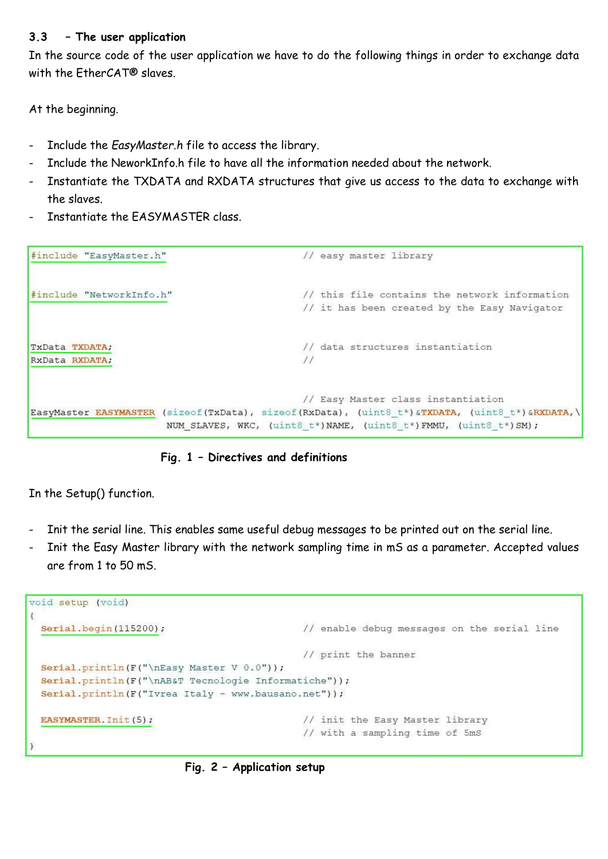## **3.3 – The user application**

In the source code of the user application we have to do the following things in order to exchange data with the EtherCAT® slaves.

At the beginning.

- Include the *EasyMaster.h* file to access the library.
- Include the NeworkInfo.h file to have all the information needed about the network.
- Instantiate the TXDATA and RXDATA structures that give us access to the data to exchange with the slaves.
- Instantiate the EASYMASTER class.

#include "EasyMaster.h" // easy master library #include "NetworkInfo.h" // this file contains the network information // it has been created by the Easy Navigator // data structures instantiation TxData TXDATA;  $11$ RxData RXDATA; // Easy Master class instantiation EasyMaster EASYMASTER (sizeof(TxData), sizeof(RxData), (uint8 t\*) &TXDATA, (uint8 t\*) &RXDATA, \ NUM SLAVES, WKC, (uint8 t\*) NAME, (uint8 t\*) FMMU, (uint8 t\*) SM);



In the Setup() function.

- Init the serial line. This enables same useful debug messages to be printed out on the serial line.
- Init the Easy Master library with the network sampling time in mS as a parameter. Accepted values are from 1 to 50 mS.

```
void setup (void)
\left\{ \right.Serial.begin(115200);
                                                 // enable debug messages on the serial line
                                                 // print the banner
 Serial.println(F("\nEasy Master V 0.0"));
 Serial.println(F("\nAB&T Tecnologie Informatiche"));
 Serial.println(F("Ivrea Italy - www.bausano.net"));
 EASYMASTER. Init(5);
                                                 // init the Easy Master library
                                                 // with a sampling time of 5mS
\mathbf{1}
```
<span id="page-2-0"></span>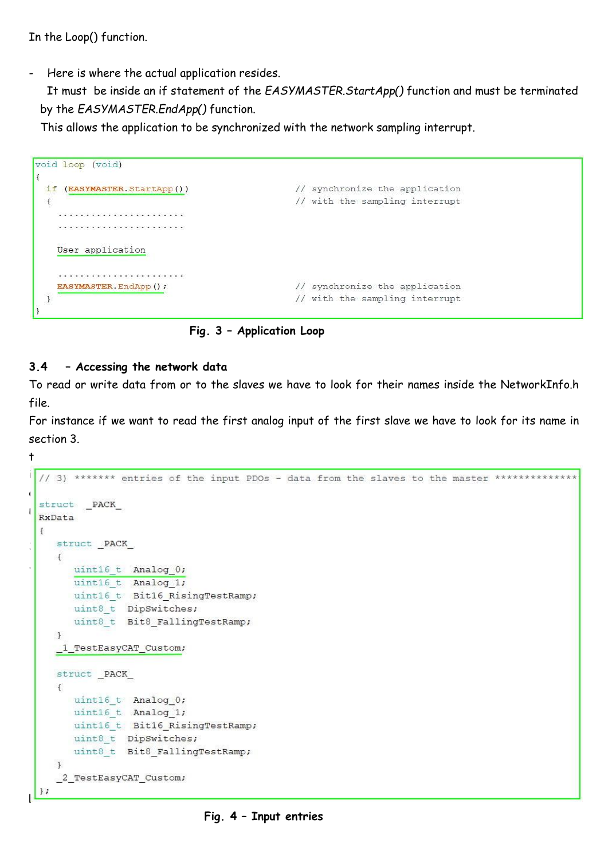In the Loop() function.

- Here is where the actual application resides.

 It must be inside an if statement of the *EASYMASTER.StartApp()* function and must be terminated by the *EASYMASTER.EndApp()* function.

This allows the application to be synchronized with the network sampling interrupt.

```
void loop (void)
\mathbf{I}if (EASYMASTER. StartApp())
                                                                                                                                                                                                 // synchronize the application
                                                                                                                                                                                                 // with the sampling interrupt
      \left\{ \right.\label{eq:3.1} \left\langle \left( \mathbf{a}^{\dagger} \right) \mathbf{a}^{\dagger} \left( \mathbf{a}^{\dagger} \right) \mathbf{a}^{\dagger} \left( \mathbf{a}^{\dagger} \right) \mathbf{a}^{\dagger} \left( \mathbf{a}^{\dagger} \right) \mathbf{a}^{\dagger} \left( \mathbf{a}^{\dagger} \right) \mathbf{a}^{\dagger} \left( \mathbf{a}^{\dagger} \right) \mathbf{a}^{\dagger} \left( \mathbf{a}^{\dagger} \right) \mathbf{a}^{\dagger} \left( \mathbf{a}^{\User application
                 \label{eq:3.1} \mathcal{F}^{\mathcal{A}}(\mathcal{A})=\mathcal{F}^{\mathcal{A}}(\mathcal{A})=\mathcal{F}^{\mathcal{A}}(\mathcal{A})=\mathcal{F}^{\mathcal{A}}(\mathcal{A})=\mathcal{F}^{\mathcal{A}}(\mathcal{A})=\mathcal{F}^{\mathcal{A}}(\mathcal{A})=\mathcal{F}^{\mathcal{A}}(\mathcal{A})=\mathcal{F}^{\mathcal{A}}(\mathcal{A})=\mathcal{F}^{\mathcal{A}}(\mathcal{A})=\mathcal{F}^{\mathcal{A}}(\mathcal{A})=\mathcal{F}^{\mathcal{A}}(\mathcal{A})=\mathEASYMASTER. EndApp();
                                                                                                                                                                                                  // synchronize the application
        \overline{1}// with the sampling interrupt
```
<span id="page-3-0"></span>

# **3.4 – Accessing the network data**

To read or write data from or to the slaves we have to look for their names inside the NetworkInfo.h file.

For instance if we want to read the first analog input of the first slave we have to look for its name in section 3.

t

**F**

 $\}$ ;

```
i
  // 3) ******* entries of the input PDOs - data from the slaves to the master ***************
o
 struct PACK
n
 RxData
  \ddot{+}struct PACK
\left| \cdot \right|\left\{ \right..
        uint16 t Analog 0;
        uint16 t Analog 1;
       uint16 t Bit16 RisingTestRamp;
       uint8 t DipSwitches;
        uint8 t Bit8 FallingTestRamp;
     \mathbf{1}1<sup>TestEasyCAT_Custom;</sup>
    struct _PACK_
     \left\{ \right.uint16 t Analog 0;
       uint16 t Analog 1;
       uint16_t Bit16_RisingTestRamp;
        uint8_t DipSwitches;
        uint8_t Bit8_FallingTestRamp;
     \mathbf{1}2 TestEasyCAT Custom;
```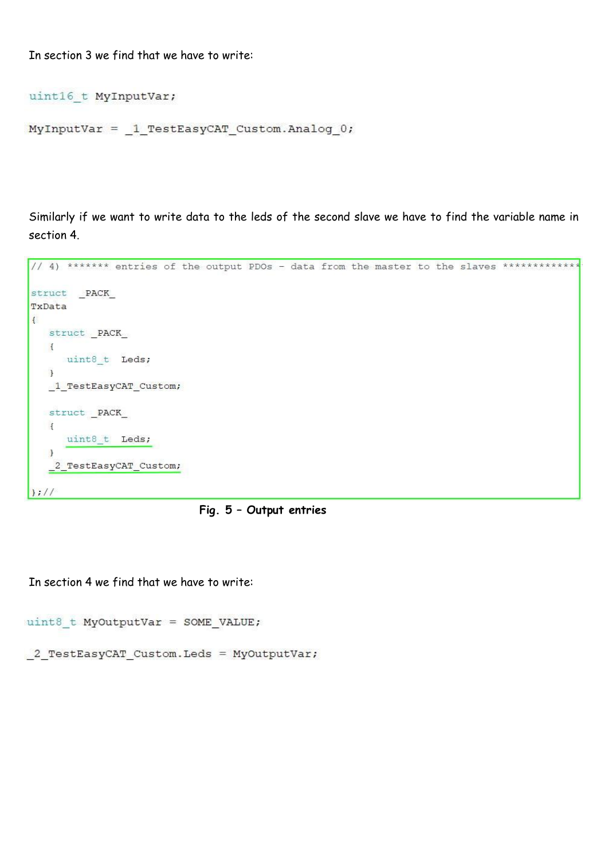In section 3 we find that we have to write:

```
uint16 t MyInputVar;
```

```
MyInputVar = 1 TestEasyCAT Custom. Analog 0;
```
Similarly if we want to write data to the leds of the second slave we have to find the variable name in section 4.

```
// 4) ******* entries of the output PDOs - data from the master to the slaves **************
struct _PACK_
TxData
\mathbf{f}struct PACK
   \mathcal{A}uint8 t Leds;
   \rightarrow1<sup>restEasyCAT_Custom;</sup>
  struct PACK
  \left| \right|uint8 t Leds;
   \lambda_2_TestEasyCAT_Custom;
|;|/|
```


In section 4 we find that we have to write:

```
uint8 t MyOutputVar = SOME VALUE;
```
2 TestEasyCAT Custom. Leds = MyOutputVar;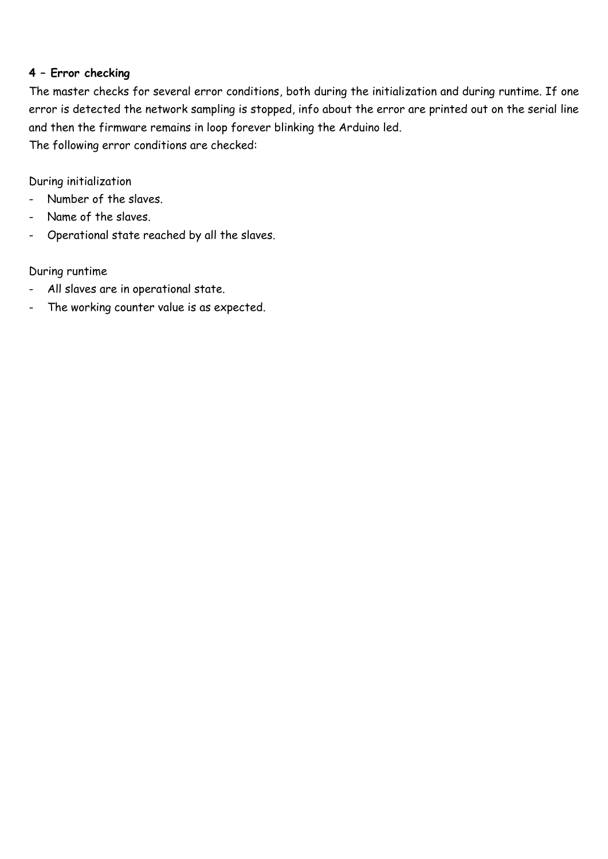# **4 – Error checking**

The master checks for several error conditions, both during the initialization and during runtime. If one error is detected the network sampling is stopped, info about the error are printed out on the serial line and then the firmware remains in loop forever blinking the Arduino led.

The following error conditions are checked:

During initialization

- Number of the slaves.
- Name of the slaves.
- Operational state reached by all the slaves.

During runtime

- All slaves are in operational state.
- The working counter value is as expected.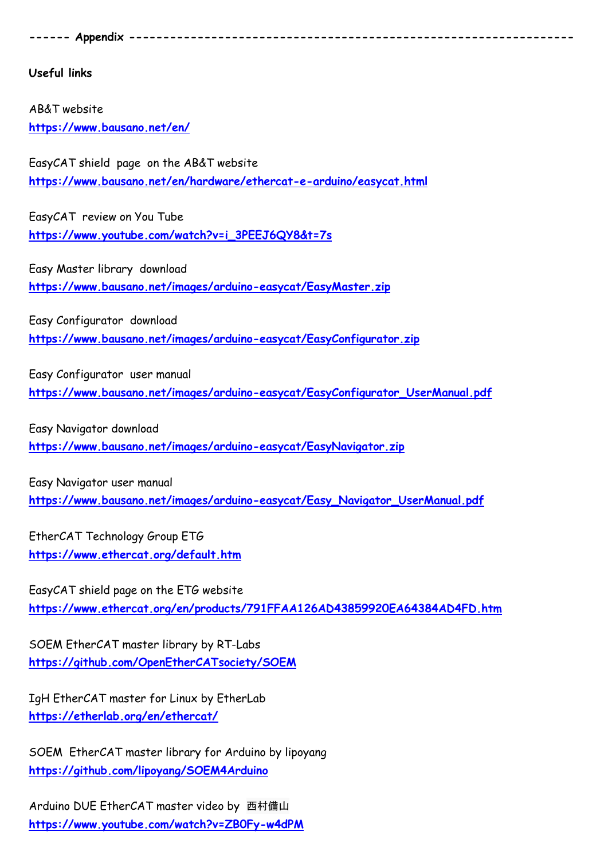<span id="page-6-0"></span>**------ Appendix -----------------------------------------------------------------**

**Useful links**

AB&T website **<https://www.bausano.net/en/>**

EasyCAT shield page on the AB&T website **<https://www.bausano.net/en/hardware/ethercat-e-arduino/easycat.html>**

EasyCAT review on You Tube **[https://www.youtube.com/watch?v=i\\_3PEEJ6QY8&t=7s](https://www.youtube.com/watch?v=i_3PEEJ6QY8&t=7s)**

Easy Master library download **<https://www.bausano.net/images/arduino-easycat/EasyMaster.zip>**

Easy Configurator download **<https://www.bausano.net/images/arduino-easycat/EasyConfigurator.zip>**

Easy Configurator user manual **[https://www.bausano.net/images/arduino-easycat/EasyConfigurator\\_UserManual.pdf](https://www.bausano.net/images/arduino-easycat/EasyConfigurator_UserManual.pdf)**

Easy Navigator download **<https://www.bausano.net/images/arduino-easycat/EasyNavigator.zip>**

Easy Navigator user manual **[https://www.bausano.net/images/arduino-easycat/Easy\\_Navigator\\_UserManual.pdf](https://www.bausano.net/images/arduino-easycat/Easy_Navigator_UserManual.pdf)**

EtherCAT Technology Group ETG **<https://www.ethercat.org/default.htm>**

EasyCAT shield page on the ETG website **<https://www.ethercat.org/en/products/791FFAA126AD43859920EA64384AD4FD.htm>**

SOEM EtherCAT master library by RT-Labs **<https://github.com/OpenEtherCATsociety/SOEM>**

IgH EtherCAT master for Linux by EtherLab **<https://etherlab.org/en/ethercat/>**

SOEM EtherCAT master library for Arduino by lipoyang **<https://github.com/lipoyang/SOEM4Arduino>**

Arduino DUE EtherCAT master video by 西村備山 **<https://www.youtube.com/watch?v=ZB0Fy-w4dPM>**